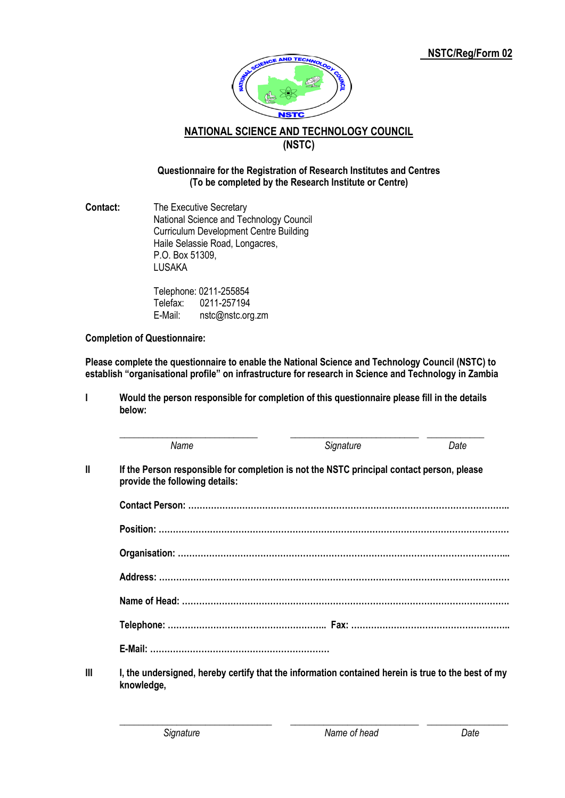

## **NATIONAL SCIENCE AND TECHNOLOGY COUNCIL (NSTC)**

## **Questionnaire for the Registration of Research Institutes and Centres (To be completed by the Research Institute or Centre)**

**Contact:** The Executive Secretary National Science and Technology Council Curriculum Development Centre Building Haile Selassie Road, Longacres, P.O. Box 51309, LUSAKA

> Telephone: 0211-255854 Telefax: 0211-257194 E-Mail: [nstc@nstc.org.zm](mailto:nstc@nstc.org.zm)

**Completion of Questionnaire:**

**Please complete the questionnaire to enable the National Science and Technology Council (NSTC) to establish "organisational profile" on infrastructure for research in Science and Technology in Zambia**

**I Would the person responsible for completion of this questionnaire please fill in the details below:**

|    | Name                                                                                                                        | Signature | Date |
|----|-----------------------------------------------------------------------------------------------------------------------------|-----------|------|
| II | If the Person responsible for completion is not the NSTC principal contact person, please<br>provide the following details: |           |      |
|    |                                                                                                                             |           |      |
|    |                                                                                                                             |           |      |
|    |                                                                                                                             |           |      |
|    |                                                                                                                             |           |      |
|    |                                                                                                                             |           |      |
|    |                                                                                                                             |           |      |
|    |                                                                                                                             |           |      |
| Ш  | I, the undersigned, hereby certify that the information contained herein is true to the best of my<br>knowledge,            |           |      |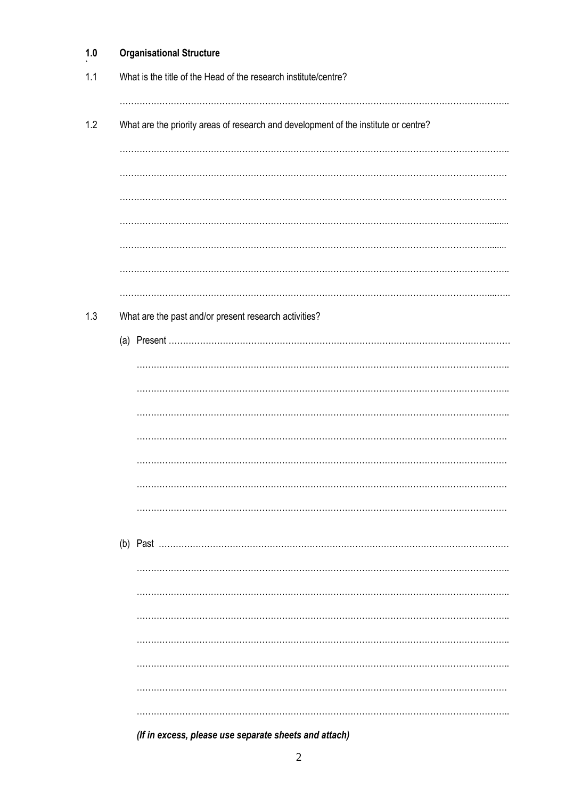| 1.0 | <b>Organisational Structure</b>                                                     |  |
|-----|-------------------------------------------------------------------------------------|--|
| 1.1 | What is the title of the Head of the research institute/centre?                     |  |
|     |                                                                                     |  |
| 1.2 | What are the priority areas of research and development of the institute or centre? |  |
|     |                                                                                     |  |
|     |                                                                                     |  |
|     |                                                                                     |  |
|     |                                                                                     |  |
|     |                                                                                     |  |
|     |                                                                                     |  |
| 1.3 | What are the past and/or present research activities?                               |  |
|     |                                                                                     |  |
|     |                                                                                     |  |
|     |                                                                                     |  |
|     |                                                                                     |  |
|     |                                                                                     |  |
|     |                                                                                     |  |
|     |                                                                                     |  |
|     |                                                                                     |  |
|     |                                                                                     |  |
|     |                                                                                     |  |
|     |                                                                                     |  |
|     |                                                                                     |  |
|     |                                                                                     |  |
|     |                                                                                     |  |
|     |                                                                                     |  |
|     |                                                                                     |  |
|     |                                                                                     |  |
|     | (If in excess, please use separate sheets and attach)                               |  |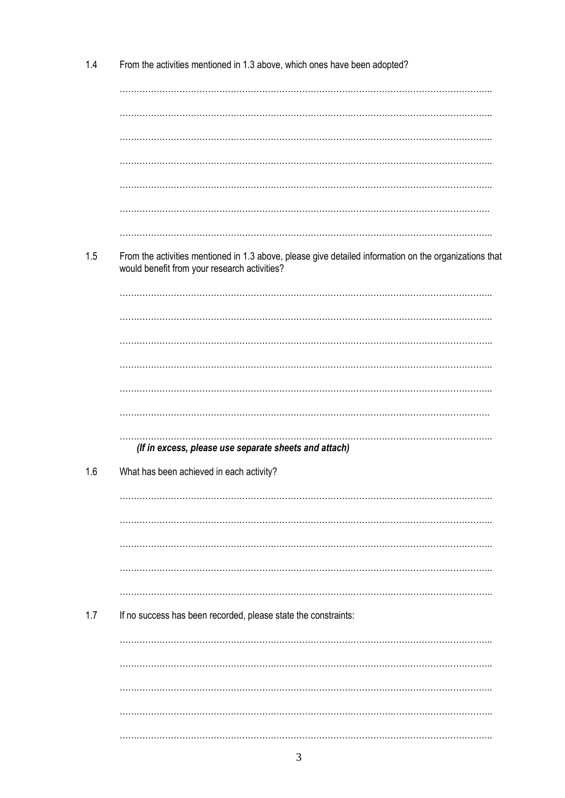| 1.4 | From the activities mentioned in 1.3 above, which ones have been adopted?                                                                              |
|-----|--------------------------------------------------------------------------------------------------------------------------------------------------------|
|     |                                                                                                                                                        |
|     |                                                                                                                                                        |
|     |                                                                                                                                                        |
|     |                                                                                                                                                        |
|     |                                                                                                                                                        |
|     |                                                                                                                                                        |
|     |                                                                                                                                                        |
| 1.5 | From the activities mentioned in 1.3 above, please give detailed information on the organizations that<br>would benefit from your research activities? |
|     |                                                                                                                                                        |
|     |                                                                                                                                                        |
|     |                                                                                                                                                        |
|     |                                                                                                                                                        |
|     |                                                                                                                                                        |
|     |                                                                                                                                                        |
|     | (If in excess, please use separate sheets and attach)                                                                                                  |
| 1.6 | What has been achieved in each activity?                                                                                                               |
|     |                                                                                                                                                        |
|     |                                                                                                                                                        |
|     |                                                                                                                                                        |
|     |                                                                                                                                                        |
|     |                                                                                                                                                        |
| 1.7 |                                                                                                                                                        |
|     | If no success has been recorded, please state the constraints:                                                                                         |
|     |                                                                                                                                                        |
|     |                                                                                                                                                        |
|     |                                                                                                                                                        |
|     |                                                                                                                                                        |
|     |                                                                                                                                                        |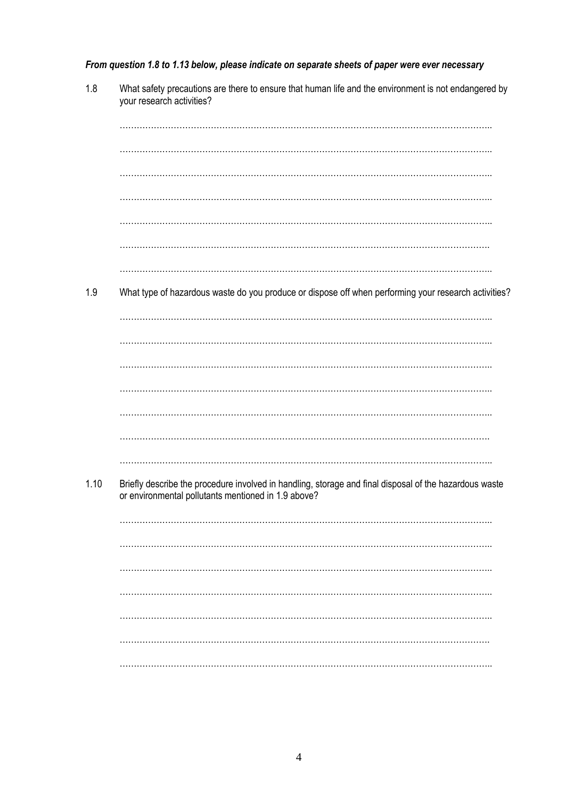From question 1.8 to 1.13 below, please indicate on separate sheets of paper were ever necessary

| 1.8  | What safety precautions are there to ensure that human life and the environment is not endangered by<br>your research activities?                             |
|------|---------------------------------------------------------------------------------------------------------------------------------------------------------------|
|      |                                                                                                                                                               |
|      |                                                                                                                                                               |
|      |                                                                                                                                                               |
|      |                                                                                                                                                               |
|      |                                                                                                                                                               |
|      |                                                                                                                                                               |
|      |                                                                                                                                                               |
|      |                                                                                                                                                               |
|      |                                                                                                                                                               |
|      |                                                                                                                                                               |
|      |                                                                                                                                                               |
|      |                                                                                                                                                               |
| 1.9  | What type of hazardous waste do you produce or dispose off when performing your research activities?                                                          |
|      |                                                                                                                                                               |
|      |                                                                                                                                                               |
|      |                                                                                                                                                               |
|      |                                                                                                                                                               |
|      |                                                                                                                                                               |
|      |                                                                                                                                                               |
|      |                                                                                                                                                               |
|      |                                                                                                                                                               |
|      |                                                                                                                                                               |
|      |                                                                                                                                                               |
|      |                                                                                                                                                               |
|      |                                                                                                                                                               |
| 1.10 | Briefly describe the procedure involved in handling, storage and final disposal of the hazardous waste<br>or environmental pollutants mentioned in 1.9 above? |
|      |                                                                                                                                                               |
|      |                                                                                                                                                               |
|      |                                                                                                                                                               |
|      |                                                                                                                                                               |
|      |                                                                                                                                                               |
|      |                                                                                                                                                               |
|      |                                                                                                                                                               |
|      |                                                                                                                                                               |
|      |                                                                                                                                                               |
|      |                                                                                                                                                               |
|      |                                                                                                                                                               |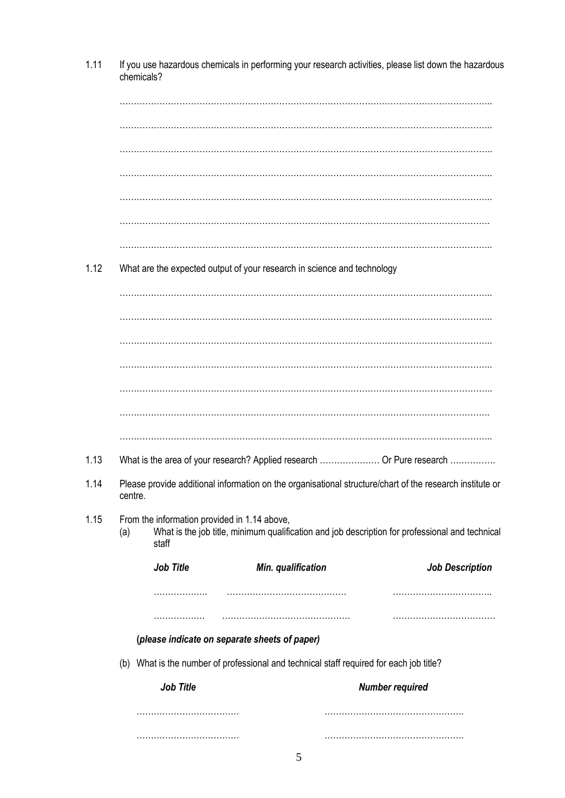|                                     | If you use hazardous chemicals in performing your research activities, please list down the hazardous<br>chemicals? |           |                                                                         |                    |                                                                                                          |                                        |
|-------------------------------------|---------------------------------------------------------------------------------------------------------------------|-----------|-------------------------------------------------------------------------|--------------------|----------------------------------------------------------------------------------------------------------|----------------------------------------|
|                                     |                                                                                                                     |           |                                                                         |                    |                                                                                                          |                                        |
|                                     |                                                                                                                     |           |                                                                         |                    |                                                                                                          |                                        |
|                                     |                                                                                                                     |           |                                                                         |                    |                                                                                                          |                                        |
|                                     |                                                                                                                     |           |                                                                         |                    |                                                                                                          |                                        |
|                                     |                                                                                                                     |           | What are the expected output of your research in science and technology |                    |                                                                                                          |                                        |
|                                     |                                                                                                                     |           |                                                                         |                    |                                                                                                          |                                        |
|                                     |                                                                                                                     |           |                                                                         |                    |                                                                                                          |                                        |
|                                     |                                                                                                                     |           |                                                                         |                    |                                                                                                          |                                        |
|                                     |                                                                                                                     |           |                                                                         |                    |                                                                                                          |                                        |
|                                     |                                                                                                                     |           |                                                                         |                    |                                                                                                          |                                        |
|                                     |                                                                                                                     |           |                                                                         |                    |                                                                                                          |                                        |
|                                     |                                                                                                                     |           |                                                                         |                    |                                                                                                          |                                        |
|                                     |                                                                                                                     |           |                                                                         |                    |                                                                                                          |                                        |
|                                     |                                                                                                                     |           |                                                                         |                    | What is the area of your research? Applied research  Or Pure research                                    |                                        |
|                                     | centre.                                                                                                             |           |                                                                         |                    | Please provide additional information on the organisational structure/chart of the research institute or |                                        |
| (a)                                 |                                                                                                                     | staff     | From the information provided in 1.14 above,                            |                    | What is the job title, minimum qualification and job description for professional and technical          |                                        |
|                                     |                                                                                                                     | Job Title |                                                                         | Min. qualification |                                                                                                          | <b>Job Description</b>                 |
|                                     |                                                                                                                     | .         |                                                                         |                    |                                                                                                          |                                        |
|                                     |                                                                                                                     | .         |                                                                         |                    |                                                                                                          | ,,,,,,,,,,,,,,,,,,,,,,,,,,,,,,,,,,,,,, |
|                                     | (please indicate on separate sheets of paper)                                                                       |           |                                                                         |                    |                                                                                                          |                                        |
|                                     | (b) What is the number of professional and technical staff required for each job title?                             |           |                                                                         |                    |                                                                                                          |                                        |
| Job Title<br><b>Number required</b> |                                                                                                                     |           |                                                                         |                    |                                                                                                          |                                        |
|                                     |                                                                                                                     |           |                                                                         |                    |                                                                                                          |                                        |
|                                     |                                                                                                                     |           |                                                                         |                    |                                                                                                          |                                        |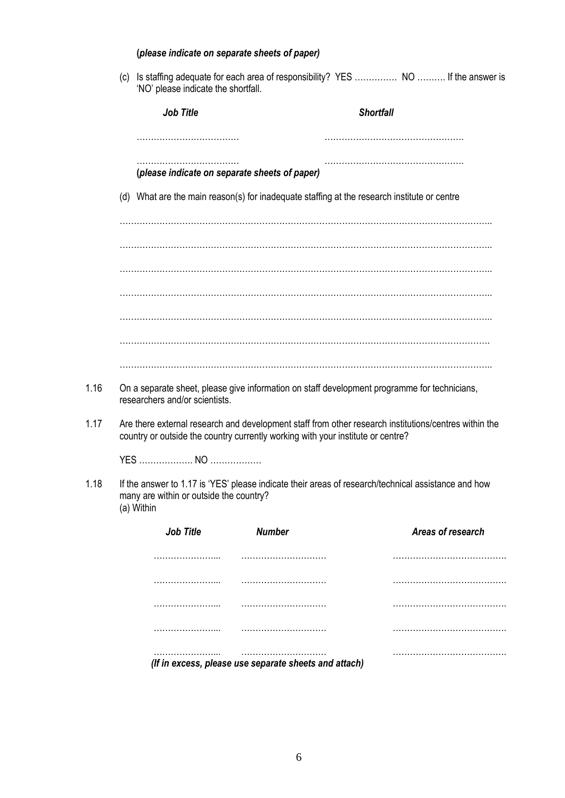|      |     | (please indicate on separate sheets of paper)         |                                                                                          |                                                                                                       |
|------|-----|-------------------------------------------------------|------------------------------------------------------------------------------------------|-------------------------------------------------------------------------------------------------------|
|      | (c) | 'NO' please indicate the shortfall.                   |                                                                                          | Is staffing adequate for each area of responsibility? YES  NO  If the answer is                       |
|      |     | <b>Job Title</b>                                      |                                                                                          | <b>Shortfall</b>                                                                                      |
|      |     |                                                       |                                                                                          |                                                                                                       |
|      |     | (please indicate on separate sheets of paper)         |                                                                                          |                                                                                                       |
|      |     |                                                       |                                                                                          | (d) What are the main reason(s) for inadequate staffing at the research institute or centre           |
|      |     |                                                       |                                                                                          |                                                                                                       |
|      |     |                                                       |                                                                                          |                                                                                                       |
|      |     |                                                       |                                                                                          |                                                                                                       |
|      |     |                                                       |                                                                                          |                                                                                                       |
|      |     |                                                       |                                                                                          |                                                                                                       |
|      |     |                                                       |                                                                                          |                                                                                                       |
| 1.16 |     | researchers and/or scientists.                        |                                                                                          | On a separate sheet, please give information on staff development programme for technicians,          |
| 1.17 |     |                                                       | country or outside the country currently working with your institute or centre?          | Are there external research and development staff from other research institutions/centres within the |
|      |     |                                                       |                                                                                          |                                                                                                       |
| 1.18 |     | many are within or outside the country?<br>(a) Within |                                                                                          | If the answer to 1.17 is 'YES' please indicate their areas of research/technical assistance and how   |
|      |     | <b>Job Title</b>                                      | <b>Number</b>                                                                            | Areas of research                                                                                     |
|      |     | .                                                     |                                                                                          |                                                                                                       |
|      |     |                                                       |                                                                                          |                                                                                                       |
|      |     |                                                       | ,,,,,,,,,,,,,,,,,,,,,,,,,,,,,,,,                                                         |                                                                                                       |
|      |     |                                                       |                                                                                          |                                                                                                       |
|      |     |                                                       | ,,,,,,,,,,,,,,,,,,,,,,,,,,,,,,,<br>(If in excess, please use separate sheets and attach) |                                                                                                       |
|      |     |                                                       |                                                                                          |                                                                                                       |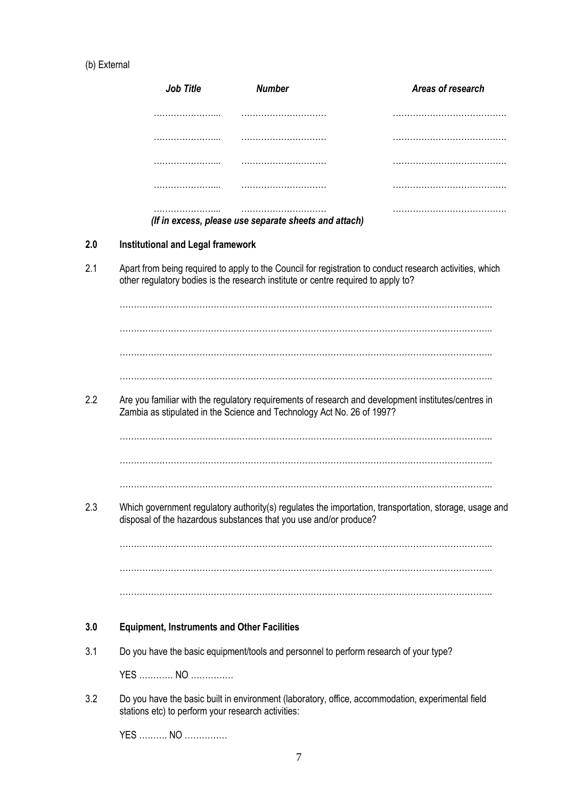## (b) External

|     | Job Title                                          | <b>Number</b>                                                                                                                                                                                 | Areas of research |
|-----|----------------------------------------------------|-----------------------------------------------------------------------------------------------------------------------------------------------------------------------------------------------|-------------------|
|     |                                                    |                                                                                                                                                                                               |                   |
|     |                                                    |                                                                                                                                                                                               |                   |
|     |                                                    |                                                                                                                                                                                               |                   |
|     |                                                    |                                                                                                                                                                                               |                   |
|     |                                                    | (If in excess, please use separate sheets and attach)                                                                                                                                         |                   |
| 2.0 | <b>Institutional and Legal framework</b>           |                                                                                                                                                                                               |                   |
| 2.1 |                                                    | Apart from being required to apply to the Council for registration to conduct research activities, which<br>other regulatory bodies is the research institute or centre required to apply to? |                   |
|     |                                                    |                                                                                                                                                                                               |                   |
|     |                                                    |                                                                                                                                                                                               |                   |
| 2.2 |                                                    | Are you familiar with the regulatory requirements of research and development institutes/centres in<br>Zambia as stipulated in the Science and Technology Act No. 26 of 1997?                 |                   |
|     |                                                    |                                                                                                                                                                                               |                   |
|     |                                                    | Which government regulatory authority(s) regulates the importation, transportation, storage, usage and<br>disposal of the hazardous substances that you use and/or produce?                   |                   |
|     |                                                    |                                                                                                                                                                                               |                   |
|     |                                                    |                                                                                                                                                                                               |                   |
| 3.0 | <b>Equipment, Instruments and Other Facilities</b> |                                                                                                                                                                                               |                   |
| 3.1 |                                                    | Do you have the basic equipment/tools and personnel to perform research of your type?                                                                                                         |                   |
|     | YES  NO                                            |                                                                                                                                                                                               |                   |
| 3.2 | stations etc) to perform your research activities: | Do you have the basic built in environment (laboratory, office, accommodation, experimental field                                                                                             |                   |
|     | YES  NO                                            |                                                                                                                                                                                               |                   |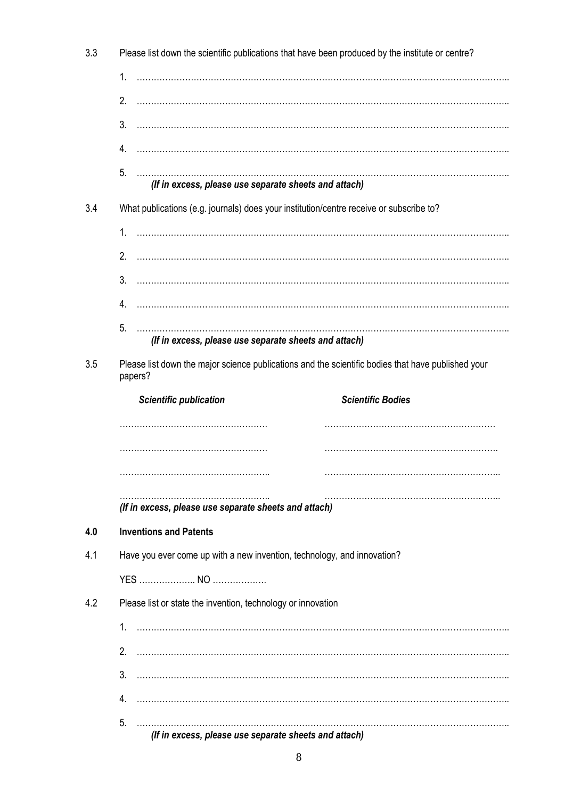| 3.3 | Please list down the scientific publications that have been produced by the institute or centre?              |  |  |  |  |  |
|-----|---------------------------------------------------------------------------------------------------------------|--|--|--|--|--|
|     | 1.                                                                                                            |  |  |  |  |  |
|     | 2.                                                                                                            |  |  |  |  |  |
|     | 3.                                                                                                            |  |  |  |  |  |
|     | 4.                                                                                                            |  |  |  |  |  |
|     | 5.<br>(If in excess, please use separate sheets and attach)                                                   |  |  |  |  |  |
| 3.4 | What publications (e.g. journals) does your institution/centre receive or subscribe to?                       |  |  |  |  |  |
|     | 1.                                                                                                            |  |  |  |  |  |
|     | 2.                                                                                                            |  |  |  |  |  |
|     | 3.                                                                                                            |  |  |  |  |  |
|     | 4.                                                                                                            |  |  |  |  |  |
|     | 5.<br>(If in excess, please use separate sheets and attach)                                                   |  |  |  |  |  |
| 3.5 | Please list down the major science publications and the scientific bodies that have published your<br>papers? |  |  |  |  |  |
|     | <b>Scientific Bodies</b><br><b>Scientific publication</b>                                                     |  |  |  |  |  |
|     |                                                                                                               |  |  |  |  |  |
|     |                                                                                                               |  |  |  |  |  |
|     |                                                                                                               |  |  |  |  |  |
|     | (If in excess, please use separate sheets and attach)                                                         |  |  |  |  |  |
| 4.0 | <b>Inventions and Patents</b>                                                                                 |  |  |  |  |  |
| 4.1 | Have you ever come up with a new invention, technology, and innovation?                                       |  |  |  |  |  |
|     |                                                                                                               |  |  |  |  |  |
| 4.2 | Please list or state the invention, technology or innovation                                                  |  |  |  |  |  |
|     |                                                                                                               |  |  |  |  |  |
|     |                                                                                                               |  |  |  |  |  |
|     | 3.                                                                                                            |  |  |  |  |  |
|     | 4.                                                                                                            |  |  |  |  |  |
|     | 5.                                                                                                            |  |  |  |  |  |
|     | (If in excess, please use separate sheets and attach)                                                         |  |  |  |  |  |